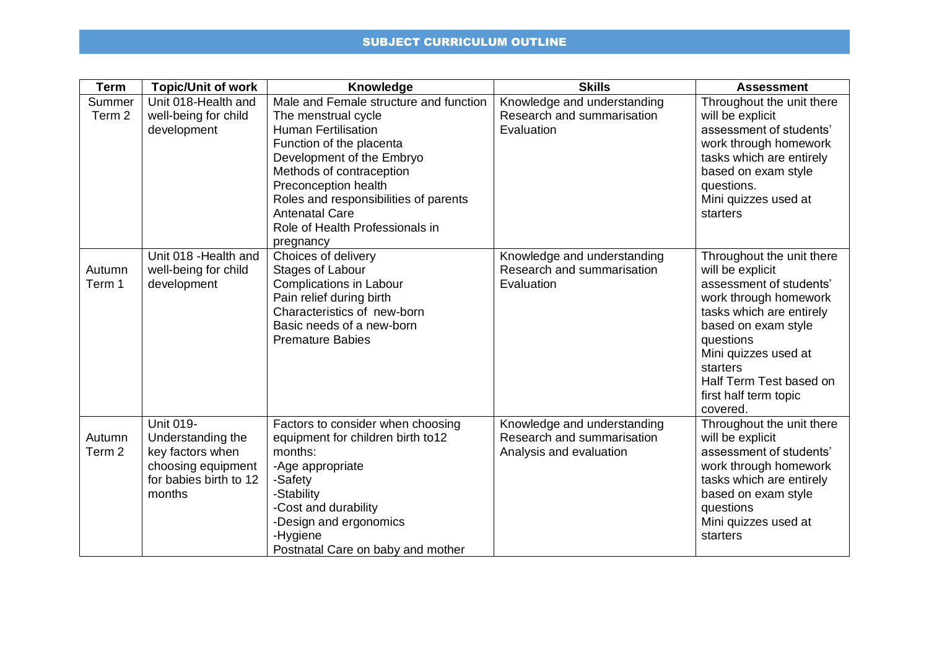| <b>Term</b>       | <b>Topic/Unit of work</b> | <b>Knowledge</b>                       | <b>Skills</b>               | <b>Assessment</b>         |
|-------------------|---------------------------|----------------------------------------|-----------------------------|---------------------------|
| Summer            | Unit 018-Health and       | Male and Female structure and function | Knowledge and understanding | Throughout the unit there |
| Term <sub>2</sub> | well-being for child      | The menstrual cycle                    | Research and summarisation  | will be explicit          |
|                   | development               | <b>Human Fertilisation</b>             | Evaluation                  | assessment of students'   |
|                   |                           | Function of the placenta               |                             | work through homework     |
|                   |                           | Development of the Embryo              |                             | tasks which are entirely  |
|                   |                           | Methods of contraception               |                             | based on exam style       |
|                   |                           | Preconception health                   |                             | questions.                |
|                   |                           | Roles and responsibilities of parents  |                             | Mini quizzes used at      |
|                   |                           | <b>Antenatal Care</b>                  |                             | starters                  |
|                   |                           | Role of Health Professionals in        |                             |                           |
|                   |                           | pregnancy                              |                             |                           |
|                   | Unit 018 - Health and     | Choices of delivery                    | Knowledge and understanding | Throughout the unit there |
| Autumn            | well-being for child      | Stages of Labour                       | Research and summarisation  | will be explicit          |
| Term 1            | development               | <b>Complications in Labour</b>         | Evaluation                  | assessment of students'   |
|                   |                           | Pain relief during birth               |                             | work through homework     |
|                   |                           | Characteristics of new-born            |                             | tasks which are entirely  |
|                   |                           | Basic needs of a new-born              |                             | based on exam style       |
|                   |                           | <b>Premature Babies</b>                |                             | questions                 |
|                   |                           |                                        |                             | Mini quizzes used at      |
|                   |                           |                                        |                             | starters                  |
|                   |                           |                                        |                             | Half Term Test based on   |
|                   |                           |                                        |                             | first half term topic     |
|                   |                           |                                        |                             | covered.                  |
|                   | Unit 019-                 | Factors to consider when choosing      | Knowledge and understanding | Throughout the unit there |
| Autumn            | Understanding the         | equipment for children birth to12      | Research and summarisation  | will be explicit          |
| Term <sub>2</sub> | key factors when          | months:                                | Analysis and evaluation     | assessment of students'   |
|                   | choosing equipment        | -Age appropriate                       |                             | work through homework     |
|                   | for babies birth to 12    | -Safety                                |                             | tasks which are entirely  |
|                   | months                    | -Stability                             |                             | based on exam style       |
|                   |                           | -Cost and durability                   |                             | questions                 |
|                   |                           | -Design and ergonomics                 |                             | Mini quizzes used at      |
|                   |                           | -Hygiene                               |                             | starters                  |
|                   |                           | Postnatal Care on baby and mother      |                             |                           |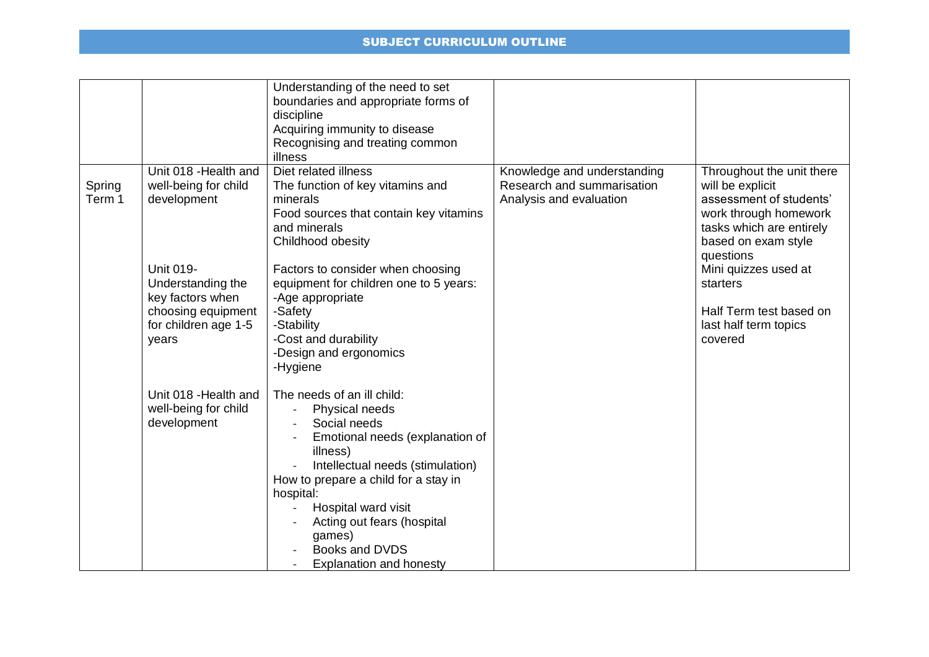|                  |                                                                                                           | Understanding of the need to set<br>boundaries and appropriate forms of<br>discipline<br>Acquiring immunity to disease<br>Recognising and treating common<br>illness                                                                                                                                                    |                                                                                      |                                                                                                                                                                   |
|------------------|-----------------------------------------------------------------------------------------------------------|-------------------------------------------------------------------------------------------------------------------------------------------------------------------------------------------------------------------------------------------------------------------------------------------------------------------------|--------------------------------------------------------------------------------------|-------------------------------------------------------------------------------------------------------------------------------------------------------------------|
| Spring<br>Term 1 | Unit 018 - Health and<br>well-being for child<br>development                                              | Diet related illness<br>The function of key vitamins and<br>minerals<br>Food sources that contain key vitamins<br>and minerals<br>Childhood obesity                                                                                                                                                                     | Knowledge and understanding<br>Research and summarisation<br>Analysis and evaluation | Throughout the unit there<br>will be explicit<br>assessment of students'<br>work through homework<br>tasks which are entirely<br>based on exam style<br>questions |
|                  | Unit 019-<br>Understanding the<br>key factors when<br>choosing equipment<br>for children age 1-5<br>years | Factors to consider when choosing<br>equipment for children one to 5 years:<br>-Age appropriate<br>-Safety<br>-Stability<br>-Cost and durability<br>-Design and ergonomics<br>-Hygiene                                                                                                                                  |                                                                                      | Mini quizzes used at<br>starters<br>Half Term test based on<br>last half term topics<br>covered                                                                   |
|                  | Unit 018 - Health and<br>well-being for child<br>development                                              | The needs of an ill child:<br>Physical needs<br>Social needs<br>Emotional needs (explanation of<br>illness)<br>Intellectual needs (stimulation)<br>How to prepare a child for a stay in<br>hospital:<br>Hospital ward visit<br>Acting out fears (hospital<br>games)<br>Books and DVDS<br><b>Explanation and honesty</b> |                                                                                      |                                                                                                                                                                   |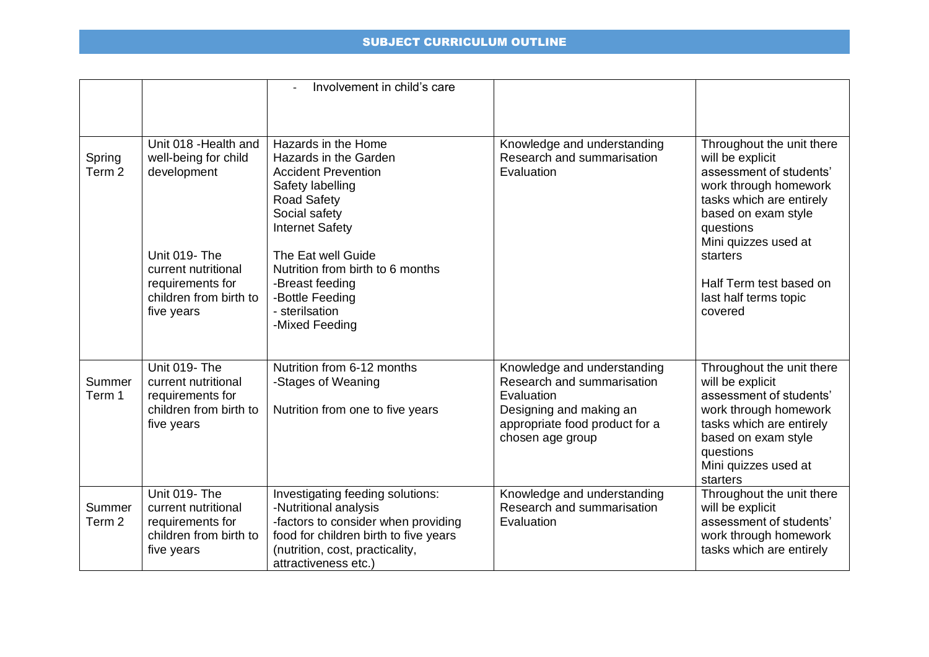|                             |                                                                                                  | Involvement in child's care                                                                                                                                                                          |                                                                                                                                                          |                                                                                                                                                                                                       |
|-----------------------------|--------------------------------------------------------------------------------------------------|------------------------------------------------------------------------------------------------------------------------------------------------------------------------------------------------------|----------------------------------------------------------------------------------------------------------------------------------------------------------|-------------------------------------------------------------------------------------------------------------------------------------------------------------------------------------------------------|
| Spring<br>Term <sub>2</sub> | Unit 018 - Health and<br>well-being for child<br>development<br>Unit 019-The                     | Hazards in the Home<br>Hazards in the Garden<br><b>Accident Prevention</b><br>Safety labelling<br><b>Road Safety</b><br>Social safety<br><b>Internet Safety</b><br>The Eat well Guide                | Knowledge and understanding<br>Research and summarisation<br>Evaluation                                                                                  | Throughout the unit there<br>will be explicit<br>assessment of students'<br>work through homework<br>tasks which are entirely<br>based on exam style<br>questions<br>Mini quizzes used at<br>starters |
|                             | current nutritional<br>requirements for<br>children from birth to<br>five years                  | Nutrition from birth to 6 months<br>-Breast feeding<br>-Bottle Feeding<br>- sterilsation<br>-Mixed Feeding                                                                                           |                                                                                                                                                          | Half Term test based on<br>last half terms topic<br>covered                                                                                                                                           |
| Summer<br>Term 1            | Unit 019-The<br>current nutritional<br>requirements for<br>children from birth to<br>five years  | Nutrition from 6-12 months<br>-Stages of Weaning<br>Nutrition from one to five years                                                                                                                 | Knowledge and understanding<br>Research and summarisation<br>Evaluation<br>Designing and making an<br>appropriate food product for a<br>chosen age group | Throughout the unit there<br>will be explicit<br>assessment of students'<br>work through homework<br>tasks which are entirely<br>based on exam style<br>questions<br>Mini quizzes used at<br>starters |
| Summer<br>Term <sub>2</sub> | Unit 019- The<br>current nutritional<br>requirements for<br>children from birth to<br>five years | Investigating feeding solutions:<br>-Nutritional analysis<br>-factors to consider when providing<br>food for children birth to five years<br>(nutrition, cost, practicality,<br>attractiveness etc.) | Knowledge and understanding<br>Research and summarisation<br>Evaluation                                                                                  | Throughout the unit there<br>will be explicit<br>assessment of students'<br>work through homework<br>tasks which are entirely                                                                         |